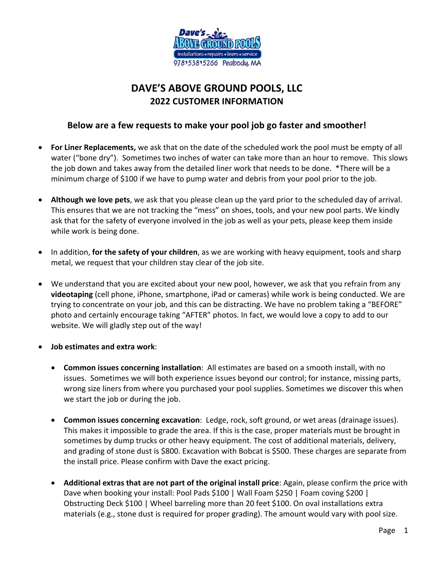

## **DAVE'S ABOVE GROUND POOLS, LLC 2022 CUSTOMER INFORMATION**

## **Below are a few requests to make your pool job go faster and smoother!**

- **For Liner Replacements,** we ask that on the date of the scheduled work the pool must be empty of all water ("bone dry"). Sometimes two inches of water can take more than an hour to remove. This slows the job down and takes away from the detailed liner work that needs to be done. \*There will be a minimum charge of \$100 if we have to pump water and debris from your pool prior to the job.
- **Although we love pets**, we ask that you please clean up the yard prior to the scheduled day of arrival. This ensures that we are not tracking the "mess" on shoes, tools, and your new pool parts. We kindly ask that for the safety of everyone involved in the job as well as your pets, please keep them inside while work is being done.
- In addition, **for the safety of your children**, as we are working with heavy equipment, tools and sharp metal, we request that your children stay clear of the job site.
- We understand that you are excited about your new pool, however, we ask that you refrain from any **videotaping** (cell phone, iPhone, smartphone, iPad or cameras) while work is being conducted. We are trying to concentrate on your job, and this can be distracting. We have no problem taking a "BEFORE" photo and certainly encourage taking "AFTER" photos. In fact, we would love a copy to add to our website. We will gladly step out of the way!
- **Job estimates and extra work**:
	- **Common issues concerning installation**: All estimates are based on a smooth install, with no issues. Sometimes we will both experience issues beyond our control; for instance, missing parts, wrong size liners from where you purchased your pool supplies. Sometimes we discover this when we start the job or during the job.
	- **Common issues concerning excavation**: Ledge, rock, soft ground, or wet areas (drainage issues). This makes it impossible to grade the area. If this is the case, proper materials must be brought in sometimes by dump trucks or other heavy equipment. The cost of additional materials, delivery, and grading of stone dust is \$800. Excavation with Bobcat is \$500. These charges are separate from the install price. Please confirm with Dave the exact pricing.
	- **Additional extras that are not part of the original install price**: Again, please confirm the price with Dave when booking your install: Pool Pads \$100 | Wall Foam \$250 | Foam coving \$200 | Obstructing Deck \$100 | Wheel barreling more than 20 feet \$100. On oval installations extra materials (e.g., stone dust is required for proper grading). The amount would vary with pool size.